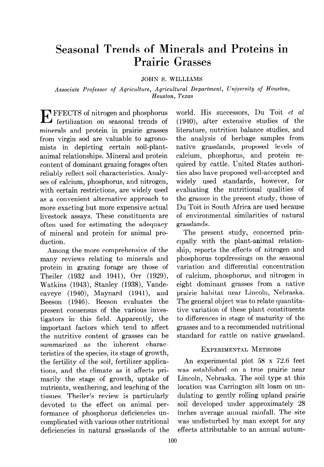# **Seasonal Trends of Minerals and Proteins in Prairie Grasses**

# JOHN S. WILLIAMS

*Associate Professor of Agriculture, Agricultural Department, Unjyersity of Houston, Houston, Texas* 

**E** FFECTS of nitrogen and phosphorus fertilization on seasonal trends of minerals and protein in prairie grasses from virgin sod are valuable to agronomists in depicting certain soil-plantanimal relationships. Mineral and protein content of dominant grazing forages often reliably reflect soil characteristics. Analyses of calcium, phosphorus, and nitrogen, with certain restrictions, are widely used as a convenient alternative approach to more exacting but more expensive actual livestock assays. These constituents are often used for estimating the adequacy of mineral and protein for animal production.

Among the more comprehensive of the many reviews relating to minerals and protein in grazing forage are those of Theiler (1932 and 1941), Orr (1929), Watkins (1943)) Stanley (1938), Vandecaveye (1940), Maynard (1941), and Beeson (1946). Beeson evaluates the present consensus of the various investigators in this field. Apparently, the important factors which tend to affect the nutritive content of grasses can be summarized as the inherent characteristics of the species, its stage of growth, the fertility of the soil, fertilizer applications, and the climate as it affects primarily the stage of growth, uptake of nutrients, weathering, and leaching of the tissues. Theiler's review is particularly devoted to the effect on animal performance of phosphorus deficiencies uncomplicated with various other nutritional deficiencies in natural grasslands of the world. His successors, Du Toit et *al (1940),* after extensive studies of the literature, nutrition balance studies, and the analysis of herbage samples from native grasslands, proposed levels of calcium, phosphorus, and protein required by cattle. United States authorities also have proposed well-accepted and widely used standards, however, for evaluating the nutritional qualities of the grasses in the present study, those of Du Toit in South Africa are used because of environmental similarities of natural grasslands.

The present study, concerned principally with the plant-animal relationship, reports the effects of nitrogen and phosphorus topdressings on the seasonal variation and differential concentration of calcium, phosphorus, and nitrogen in eight dominant grasses from a native prairie habitat near Lincoln, Nebraska. The general object was to relate quantitative variation of these plant constituents to differences in stage of maturity of the grasses and to a recommended nutritional standard for cattle on native grassland.

# **EXPERIMENTAL METHODS**

An experimental plot 58 x 72.6 feet was established on a true prairie near Lincoln, Nebraska. The soil type at this location was Carrington silt loam on undulating to gently rolling upland prairie soil developed under approximately 28 inches average annual rainfall. The site was undisturbed by man except for any effects attributable to an annual autum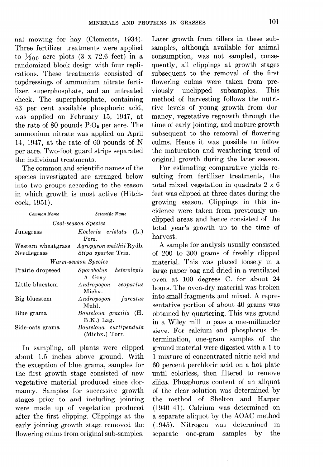nal mowing for hay (Clements, 1934). Three fertilizer treatments were applied to  $\frac{1}{200}$  acre plots (3 x 72.6 feet) in a randomized block design with four replications. These treatments consisted of topdressings of ammonium nitrate fertilizer, superphosphate, and an untreated check. The superphosphate, containing 43 per cent available phosphoric acid, was applied on February 15, 1947, at the rate of 80 pounds  $P_2O_5$  per acre. The ammonium nitrate was applied on April 14, 1947, at the rate of 60 pounds of N per acre. Two-foot guard strips separated the individual treatments.

The common and scientific names of the species investigated are arranged below into two groups according to the season in which growth is most active (Hitchcock, 1951).

| Common Name        | Scientific Name                          |  |  |  |  |
|--------------------|------------------------------------------|--|--|--|--|
|                    | Cool-season Species                      |  |  |  |  |
| Junegrass          | Koeleria cristata<br>(L.)<br>Pers.       |  |  |  |  |
| Western wheatgrass | Agropyron smithii Rydb.                  |  |  |  |  |
| Needlegrass        | Stipa spartea Trin.                      |  |  |  |  |
|                    | Warm-season Species                      |  |  |  |  |
| Prairie dropseed   | Sporobolus heterolepis<br>A. Gray        |  |  |  |  |
| Little bluestem    | Andropogon<br>scoparius<br>Michx.        |  |  |  |  |
| Big bluestem       | Andropogon<br>furcatus<br>Muhl.          |  |  |  |  |
| Blue grama         | Bouteloua gracilis (H.<br>$B.K.$ ) Lag.  |  |  |  |  |
| Side-oats grama    | Bouteloua curtipendula<br>(Michx.) Torr. |  |  |  |  |

In sampling, all plants were clipped about 1.5 inches above ground. With the exception of blue grama, samples for the first growth stage consisted of new vegetative material produced since dormancy. Samples for successive growth stages prior to and including jointing were made up of vegetation produced after the first clipping. Clippings at the early jointing growth stage removed the flowering culms from original sub-samples.

Later growth from tillers in these subsamples, although available for animal consumption, was not sampled, consequently, all clippings at growth stages subsequent to the removal of the first flowering culms were taken from previously unclipped subsamples. This method of harvesting follows the nutritive levels of young growth from dormancy, vegetative regrowth through the time of early jointing, and mature growth subsequent to the removal of flowering culms. Hence it was possible to follow the maturation and weathering trend of original growth during the later season.

For estimating comparative yields resulting from fertilizer treatments, the total mixed vegetation in quadrats 2 x 6 feet was clipped at three dates during the growing season. Clippings in this incidence were taken from previously unclipped areas and hence consisted of the total year's growth up to the time of harvest.

A sample for analysis usually consisted of 200 to 300 grams of freshly clipped material. This was placed loosely in a large paper bag and dried in a ventilated oven at 100 degrees C. for about 24 hours. The oven-dry material was broken into small fragments and mixed. A representative portion of about 40 grams was obtained by quartering. This was ground in a Wiley mill to pass a one-millimeter sieve. For calcium and phosphorus determination, one-gram samples of the ground material were digested with a 1 to 1 mixture of concentrated nitric acid and 60 percent perchloric acid on a hot plate until colorless, then filtered to remove silica. Phosphorus content of an aliquot of the clear solution was determined by the method of Shelton and Harper (1940-41). Calcium was determined on a separate aliquot by the AOAC method (1945). Nitrogen was determined in separate one-gram samples by the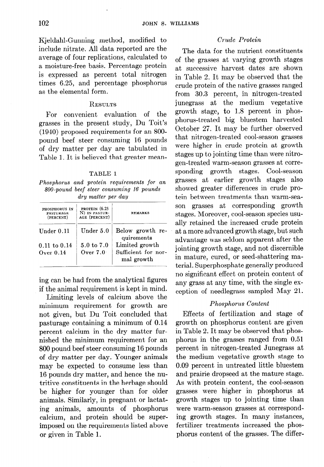Kjeldahl-Gunning method, modified to include nitrate. All data reported are the average of four replications, calculated to a moisture-free basis. Percentage protein is expressed as percent total nitrogen times 6.25, and percentage phosphorus as the elemental form.

#### **RESULTS**

For convenient evaluation of the grasses in the present study, Du Toit's (1940) proposed requirements for an 800 pound beef steer consuming 16 pounds of dry matter per day are tabulated in Table 1. It is believed that greater mean-

#### **TABLE** 1

*Phosphorus and protein requirements for an 800-pound beef steer consuming* **16** *pounds dry matter per day* 

| PHOSPHORUS IN<br><b>PASTURAGE</b><br>(PERCENT) | PROTEIN (6.25<br>N) IN PASTUR-<br>AGE (PERCENT) | <b>REMARKS</b>                                      |
|------------------------------------------------|-------------------------------------------------|-----------------------------------------------------|
| Under 0.11                                     | Under $5.0$                                     | Below growth re-<br>quirements                      |
| $0.11 \;{\rm to}\; 0.14$<br>Over $0.14$        | 5.0 to 7.0<br>Over $7.0$                        | Limited growth<br>Sufficient for nor-<br>mal growth |

ing can be had from the analytical figures if the animal requirement is kept in mind.

Limiting levels of calcium above the minimum requirement for growth are not given, but Du Toit concluded that pasturage containing a minimum of 0.14 percent calcium in the dry matter furnished the minimum requirement for an 800 pound beef steer consuming 16 pounds of dry matter per day. Younger animals may be expected to consume less than 16 pounds dry matter, and hence the nutritive constituents in the herbage should be higher for younger than for older animals. Similarly, in pregnant or lactating animals, amounts of phosphorus calcium, and protein should be superimposed on the requirements listed above or given in Table 1.

# *Crude Protein*

The data for the nutrient constituents of the grasses at varying growth stages at successive harvest dates are shown in Table 2. It may be observed that the crude protein of the native grasses ranged from 30.3 percent, in nitrogen-treated junegrass at the medium vegetative growth stage, to 1.8 percent in phosphorus-treated big bluestem harvested October 27. It may be further observed that nitrogen-treated cool-season grasses were higher in crude protein at growth stages up to jointing time than were nitrogen-treated warm-season grasses at corresponding growth stages. Cool-season grasses at earlier growth stages also showed greater differences in crude protein between treatments than warm-season grasses at corresponding growth stages. Moreover, cool-season species usually retained the increased crude protein at a more advanced growth stage, but such advantage was seldom apparent after the jointing growth stage, and not discernible in mature, cured, or seed-shattering material. Superphosphate generally produced no significant effect on protein content of any grass at any time, with the single exception of needlegrass sampled May 21.

#### *Phosphorus Content*

Effects of fertilization and stage of growth on phosphorus content are given in Table 2. It may be observed that phosphorus in the grasses ranged from 0.51 percent in nitrogen-treated Junegrass at the medium vegetative growth stage to 0.09 percent in untreated little bluestem and prairie dropseed at the mature stage. As with protein content, the cool-season grasses were higher in phosphorus at growth stages up to jointing time than were warm-season grasses at corresponding growth stages. In many instances, fertilizer treatments increased the phosphorus content of the grasses. The differ-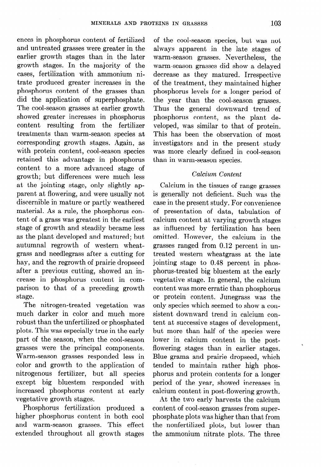ences in phosphorus content of fertilized and untreated grasses were greater in the earlier growth stages than in the later growth stages. In the majority of the cases, fertilization with ammonium nitrate produced greater increases in the phosphorus content of the grasses than did the application of superphosphate. The cool-season grasses at earlier growth showed greater increases in phosphorus content resulting from the fertilizer treatments than warm-season species at corresponding growth stages. Again, as with protein content, cool-season species retained this advantage in phosphorus content to a more advanced stage of growth; but differences were much less at the jointing stage, only slightly apparent at flowering, and were usually not discernible in mature or partly weathered material. As a rule, the phosphorus content of a grass was greatest in the earliest stage of growth and steadily became less as the plant developed and matured; but autumnal regrowth of western wheatgrass and needlegrass after a cutting for hay, and the regrowth of prairie dropseed after a previous cutting, showed an increase in phosphorus content in comparison to that of a preceding growth stage.

The nitrogen-treated vegetation was much darker in color and much more robust than the unfertilized or phosphated plots. This was especially true in the early part of the season, when the cool-season grasses were the principal components. Warm-season grasses responded less in color and growth to the application of nitrogenous fertilizer, but all species except big bluestem responded with increased phosphorus content at early vegetative growth stages.

Phosphorus fertilization produced a higher phosphorus content in both cool and warm-season grasses. This effect extended throughout all growth stages

of the cool-season species, but was not always apparent in the late stages of warm-season grasses. Nevertheless, the warm-season grasses did show a delayed decrease as they matured. Irrespective of the treatment, they maintained higher phosphorus levels for a longer period of the year than the cool-season grasses. Thus the general downward trend of phosphorus content, as the plant developed, was similar to that of protein. This has been the observation of most investigators and in the present study was more clearly defined in cool-season than in warm-season species.

# *Calcium Con tent*

Calcium in the tissues of range grasses is generally not deficient. Such was the case in the present study. For convenience of presentation of data, tabulation of calcium content at varying growth stages as influenced by fertilization has been omitted. However, the calcium in the grasses ranged from 0.12 percent in untreated western wheatgrass at the late jointing stage to 0.48 percent in phosphorus-treated big bluestem at the early vegetative stage. In general, the calcium content was more erratic than phosphorus or protein content. Junegrass was the only species which seemed to show a consistent downward trend in calcium content at successive stages of development, but more than half of the species were lower in calcium content in the postflowering stages than in earlier stages. Blue grama and prairie dropseed, which tended to maintain rather high phosphorus and protein contents for a longer period of the year, showed increases in calcium content in post-flowering growth.

At the two early harvests the calcium content of cool-season grasses from superphosphate plots was higher than that from the nonfertilized plots, but lower than the ammonium nitrate plots. The three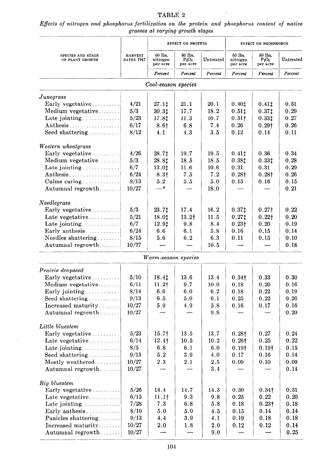#### TABLE 2

*E\$ects of nitrogen and phosphorus fertilization on the protein and phosphorus content of native grasses at varying growth stages* 

|                                         |                              | EFFECT ON PROTEIN               |                                 |           | EFFECT ON PHOSPHORUS            |                                 |              |
|-----------------------------------------|------------------------------|---------------------------------|---------------------------------|-----------|---------------------------------|---------------------------------|--------------|
| SPECIES AND STAGE<br>OF PLANT GROWTH    | <b>HARVEST</b><br>DATES 1947 | 60 lbs.<br>nitrogen<br>per acre | 80 lbs.<br>$P_2O_5$<br>per acre | Untreated | 60 lbs.<br>nitrogen<br>per acre | 80 lbs.<br>$P_2O_5$<br>per acre | Untreated    |
|                                         |                              | Percent                         | Percent                         | Percent   | Percent                         | Percent                         | Percent      |
|                                         |                              | Cool-season species             |                                 |           |                                 |                                 |              |
| Junegrass                               |                              |                                 |                                 |           |                                 |                                 |              |
| Early vegetative                        | 4/21                         | 27.1‡                           | 21.1                            | $20\,.1$  | 0.401                           | 0.411                           | 0.31         |
| Medium vegetative                       | 5/3                          | 30.31                           | 17.7                            | 18.2      | 0.511                           | 0.371                           | 0.29         |
| Late jointing $\ldots \ldots \ldots$    | 5/23                         | 17.8‡                           | 11.3                            | 10.7      | 0.311                           | 0.331                           | 0.27         |
| Anthesis                                | 6/17                         | 8.6†                            | 6.8                             | 7.4       | 0.26                            | $0.29\dagger$                   | 0.26         |
| Seed shattering                         | 8/12                         | 4.1                             | 4.3                             | 3.5       | 0.12                            | 0.14                            | 0.11         |
| Western wheatgrass                      |                              |                                 |                                 |           |                                 |                                 |              |
| Early vegetative                        | 4/26                         | 28.7‡                           | 19.7                            | 19.5      | 0.411                           | 0.36                            | 0.34         |
| Medium vegetative                       | 5/3                          | 28.81                           | 18.5                            | 18.5      | 0.381                           | 0.33‡                           | 0.28         |
| Late jointing $\ldots \ldots \ldots$    | 6/7                          | 13.0‡                           | 11.6                            | 10.6      | 0.31                            | 0.31                            | 0.29         |
| Anthesis                                | 6/24                         | 8.3 <sub>1</sub>                | 7.5                             | 7.2       | $0.28\dagger$                   | $0.28\dagger$                   | 0.26         |
|                                         | 8/13                         | 5.2                             | $5.5$                           | 5.0       | 0.15                            | 0.16                            | 0.15         |
| Autumnal regrowth                       | 10/27                        | $-$ *                           |                                 | 18.0      |                                 |                                 | 0.21         |
|                                         |                              |                                 |                                 |           |                                 |                                 |              |
| Needlegrass<br>Early vegetative         | 5/3                          |                                 | 17.4                            | 16.2      |                                 |                                 |              |
|                                         |                              | 23.71                           |                                 |           | 0.37‡                           | $0.27\dagger$                   | $0.22\,$     |
| Late vegetative                         | 5/21                         | 18.0‡                           | 13.2 <sub>1</sub>               | 11.5      | 0.27‡                           | 0.221                           | 0.20         |
|                                         | 6/7                          | 12.91                           | 9.8                             | 8.4       | $0.23\dagger$                   | 0.20                            | 0.19         |
| Early anthesis $\ldots$                 | 6/24                         | 6.6                             | 6.1                             | 5.8       | 0.16                            | 0.15                            | 0.14         |
| Needles shattering<br>Autumnal regrowth | 8/15                         | 5.6                             | 6.2                             | 6.3       | 0.11                            | 0.15                            | 0.10<br>0.18 |
|                                         | 10/27                        |                                 |                                 | 10.5      |                                 |                                 |              |
|                                         |                              | Warm-season species             |                                 |           |                                 |                                 |              |
| Prairie dropseed                        |                              |                                 |                                 |           |                                 |                                 |              |
| Early vegetative                        | 5/10                         | 18.4‡                           | 13.6                            | 13.4      | $0.34\dagger$                   | 0.33                            | 0.30         |
| Medium vegetative                       | 6/11                         | $11.2+$                         | 9.7                             | 10.0      | 0.18                            | 0.20                            | 0.16         |
| Early jointing                          | 8/14                         | 6.6                             | 6.0                             | 6.2       | 0.18                            | 0.22                            | 0.19         |
| Seed shattering                         | 9/13                         | 6.5                             | 5.0                             | 6.1       | 0.25                            | 0.22                            | 0.26         |
| Increased maturity                      | 10/27                        | 5.9                             | 4.9                             | 5.8       | 0.16                            | 0.17                            | 0.16         |
| Autumnal regrowth                       | 10/27                        |                                 |                                 | 9.8       |                                 |                                 | 0.20         |
| Little bluestem                         |                              |                                 |                                 |           |                                 |                                 |              |
| Early vegetative                        | 5/23                         | 15.7†                           | 13.5                            | 13.7      | 0.28+                           | 0.27                            | 0.24         |
| Late vegetative                         | 6/14                         | 12.4†                           | 10.5                            | 10.2      | $0.26\dagger$                   | 0.25                            | 0.22         |
| Late jointing                           | 8/5                          | 6.8                             | 6.1                             | 6.0       | 0.19 <sub>†</sub>               | 0.19 <sub>†</sub>               | 0.15         |
|                                         | 9/13                         | 5.2                             | 3.9                             | 4.0       | 0.17                            | 0.16                            | 0.14         |
| Mostly weathered                        | 10/27                        | $2\, .3$                        | 2.1                             | $2\,.5$   | 0.09                            | 0.10                            | 0.09         |
| Autumnal regrowth                       | 10/27                        |                                 |                                 | 3.4       |                                 |                                 | 0.14         |
| Big bluestem                            |                              |                                 |                                 |           |                                 |                                 |              |
| Early vegetative                        | 5/26                         | 14.4                            | 14.7                            | 14.3      | 0.30                            | $0.34\dagger$                   | 0.31         |
| Late vegetative                         | 6/15                         | 11.1†                           | 9.3                             | 9.8       | 0.25                            | 0.22                            | 0.20         |
|                                         | 7/28                         | 7.3                             | 6.8                             | 5.8       | 0.18                            | $0.23\dagger$                   | 0.18         |
| Early anthesis                          | 8/10                         | 5.0                             | 5.0                             | 4.5       | 0.15                            | 0.14                            | 0.14         |
| Panicles shattering                     | 9/13                         | 4.4                             | 3.9                             | 4.1       | 0.19                            | 0.18                            | 0.18         |
| Increased maturity                      | 10/27                        | 2.0                             | $1.8\,$                         | $_{2.0}$  | 0.12                            | 0.12                            | 0.14         |
| Autumnal regrowth                       | 10/27                        |                                 |                                 | 9,0       |                                 |                                 | 0.25         |
|                                         |                              |                                 |                                 |           |                                 |                                 |              |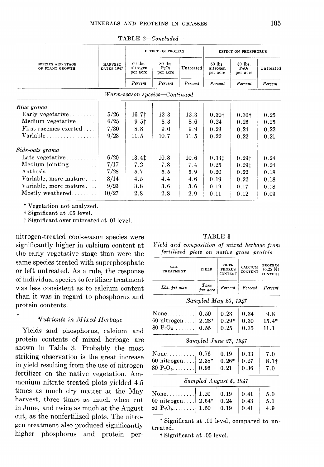|                                                         |                              | <b>EFFECT ON PROTEIN</b>                   |                                            |                      | <b>EFFECT ON PHOSPHORUS</b>                |                                            |                      |
|---------------------------------------------------------|------------------------------|--------------------------------------------|--------------------------------------------|----------------------|--------------------------------------------|--------------------------------------------|----------------------|
| SPECIES AND STAGE<br>OF PLANT GROWTH                    | <b>HARVEST</b><br>DATES 1947 | 60 lbs.<br>nitrogen<br>per acre<br>Percent | 80 lbs.<br>$P_2O_5$<br>per acre<br>Percent | Untreated<br>Percent | 60 lbs.<br>nitrogen<br>per acre<br>Percent | 80 lbs.<br>$P_2O_5$<br>per acre<br>Percent | Untreated<br>Percent |
|                                                         |                              |                                            |                                            |                      |                                            |                                            |                      |
| Blue grama                                              |                              |                                            |                                            |                      |                                            |                                            |                      |
| Early vegetative                                        | 5/26                         | 16.71                                      | 12.3                                       | 12.3                 | $0.30+$                                    | 0.30 <sub>1</sub>                          | 0.25                 |
| Medium vegetative                                       | 6/25                         | 9.5 <sub>1</sub>                           | 8.3                                        | 8.6                  | 0.24                                       | 0.26                                       | 0.25                 |
| First racemes exerted                                   | 7/30                         | 8.8                                        | 9.0                                        | 9.9                  | 0.23                                       | 0.24                                       | 0.22                 |
| $\mathbf{Variable} \dots \dots \dots \dots \dots \dots$ | 9/23                         | 11.5                                       | 10.7                                       | 11.5                 | 0.22                                       | 0.22                                       | 0.21                 |
| Side-oats grama                                         |                              |                                            |                                            |                      |                                            |                                            |                      |
| Late vegetative                                         | 6/20                         | 13.4t                                      | 10.8                                       | 10.6                 | 0.331                                      | 0.291                                      | 0.24                 |
| Medium jointing                                         | 7/17                         | 7.2                                        | 7.8                                        | 7.4                  | 0.25                                       | 0.291                                      | 0.24                 |
| Anthesis.<br>distribution distribution distri           | 7/28                         | 5.7                                        | 5.5                                        | 5.9                  | 0.20                                       | 0.22                                       | 0.18                 |
| Variable, more mature                                   | 8/14                         | 4.5                                        | 4.4                                        | 4.6                  | 0.19                                       | 0.22                                       | 0.18                 |
| Variable, more mature                                   | 9/23                         | 3.8                                        | 3.6                                        | 3.6                  | 0.19                                       | 0.17                                       | 0.18                 |
| Mostly weathered                                        | 10/27                        | 2.8                                        | 2.8                                        | 2.9                  | 0.11                                       | 0.12                                       | 0.09                 |

TABLE *2-Concluded* 

\* Vegetation not analyzed.

t Significant at .05 level.

\$ Significant over untreated at .Ol level.

nitrogen-treated cool-season species were TABLE 3 significantly higher in calcium content at *Yield and composition of mixed herbage from*  the early vegetative stage than were the same species treated with superphosphate or left untreated. As a rule, the response of individual species to fertilizer treatment was less consistent as to calcium content than it was in regard to phosphorus and protein contents.

# $Nutrients in Mixed Herbaq$

Yields and phosphorus, calcium and protein contents of mixed herbage are shown in Table 3. Probably the most striking observation is the great increase  $\frac{1}{2}$ in yield resulting from the use of nitrogen fertilizer on the native vegetation. Ammonium nitrate treated plots yielded 4.5 times as much dry matter at the May harvest, three times as much when cut in June, and twice as much at the August cut, as the nonfertilized plots. The nitro gen treatment also produced significantly gen treatment also produced significantly treated.<br>higher phosphorus and protein per- t Significant at .05 level.

*fertilized* plots on native grass prairie

| SOIL<br><b>TREATMENT</b> | YIELD            | PHOS-<br><b>PHORUS</b><br>CONTENT                                                                                                                                                                                                                          | CALCIUM<br>CONTENT      | <b>PROTEIN</b><br>$(6.25\ N)$<br>CONTENT                               |  |
|--------------------------|------------------|------------------------------------------------------------------------------------------------------------------------------------------------------------------------------------------------------------------------------------------------------------|-------------------------|------------------------------------------------------------------------|--|
| Lbs. per acre            | Tons<br>per acre | Percent                                                                                                                                                                                                                                                    | Percent                 | Percent                                                                |  |
|                          |                  |                                                                                                                                                                                                                                                            |                         |                                                                        |  |
|                          |                  | 0.23                                                                                                                                                                                                                                                       | 0.34                    | 9.8                                                                    |  |
|                          |                  | $0.29*$                                                                                                                                                                                                                                                    | 0.30                    | $15.4*$                                                                |  |
|                          |                  | 0.25                                                                                                                                                                                                                                                       | 0.35                    | 11.1                                                                   |  |
| Sampled June 27, 1947    |                  |                                                                                                                                                                                                                                                            |                         |                                                                        |  |
|                          |                  | 0.19                                                                                                                                                                                                                                                       | 0.33                    | 7.0<br>8.1 <sub>1</sub>                                                |  |
|                          |                  | 0.21                                                                                                                                                                                                                                                       | 0.36                    | 7.0                                                                    |  |
|                          |                  |                                                                                                                                                                                                                                                            |                         |                                                                        |  |
|                          | 1.20             | 0.19                                                                                                                                                                                                                                                       | 0.41                    | 5.0                                                                    |  |
|                          |                  |                                                                                                                                                                                                                                                            |                         | 5.1                                                                    |  |
|                          |                  |                                                                                                                                                                                                                                                            |                         | 4.9                                                                    |  |
|                          |                  | 60 nitrogen   $2.28*$<br>$80 \text{ P}_2\text{O}_5 \dots \dots \mid 0.55$<br>None $0.76$<br>60 nitrogen $\dots$<br>$2.38*$<br>80 $P_2O_5 \ldots \ldots \ldots \mid 0.96$<br>$None \dots \dots$<br>60 nitrogen<br>$2.64*$<br>80 $P_2O_5 \ldots$<br>$1.50\,$ | $0.26*$<br>0.24<br>0.19 | Sampled May 20, 1947<br>0.27<br>Sampled August 5, 1947<br>0.43<br>0.41 |  |

 $*$  Significant at .01 level, compared to un-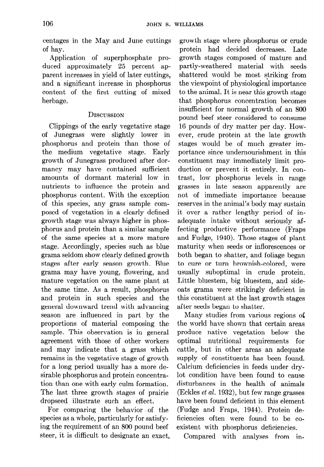centages in the May and June cuttings of hay.

Application of superphosphate produced approximately 25 percent apparent increases in yield of later cuttings, and a significant increase in phosphorus content of the first cutting of mixed herbage.

# **DISCUSSION**

Clippings of the early vegetative stage of Junegrass were slightly lower in phosphorus and protein than those of the medium vegetative stage. Early growth of Junegrass produced after dormancy may have contained sufficient amounts of dormant material low in nutrients to influence the protein and phosphorus content. With the exception of this species, any grass sample composed of vegetation in a clearly defined growth stage was always higher in phosphorus and protein than a similar sample of the same species at a more mature stage. Accordingly, species such as blue grama seldom show clearly defined growth stages after early season growth. Blue grama may have young, flowering, and mature vegetation on the same plant at the same time. As a result, phosphorus and protein in such species and the general downward trend with advancing season are influenced in part by the proportions of material composing the sample. This observation is in general agreement with those of other workers and may indicate that a grass which remains in the vegetative stage of growth for a long period usually has a more desirable phosphorus and protein concentration than one with early culm formation. The last three growth stages of prairie dropseed illustrate such an effect.

For comparing the behavior of the species as a whole, particularly for satisfying the requirement of an 800 pound beef steer, it is difficult to designate an exact,

growth stage where phosphorus or crude protein had decided decreases. Late growth stages composed of mature and partly-weathered material with seeds shattered would be most striking from the viewpoint of physiological importance to the animal. It is near this growth stage that phosphorus concentration becomes insufficient for normal growth of an 800 pound beef steer considered to consume 16 pounds of dry matter per day. However, crude protein at the late growth stages would be of much greater importance since undernourishment in this constituent may immediately limit production or prevent it entirely. In contrast, low phosphorus levels in range grasses in late season apparently are not of immediate importance because reserves in the animal's body may sustain it over a rather lengthy period of inadequate intake without seriously affecting productive performance (Fraps and Fudge, **1940).** Those stages of plant maturity when seeds or inflorescences or both began to shatter, and foliage began to cure or turn brownish-colored, were usually suboptimal in crude protein. Little bluestem, big bluestem, and sideoats grama were strikingly deficient in this constituent at the last growth stages after seeds began to shatter.

Many studies from various regions of the world have shown that certain areas produce native vegetation below the optimal nutritional requirements for cattle, but in other areas an adequate supply of constituents has been found. Calcium deficiencies in feeds under drylot condition have been found to cause disturbances in the health of animals (Eckles et al. 1932), but few range grasses have been found deficient in this element (Fudge and Fraps, 1944). Protein deficiencies often were found to be coexistent with phosphorus deficiencies.

Compared with analyses from in-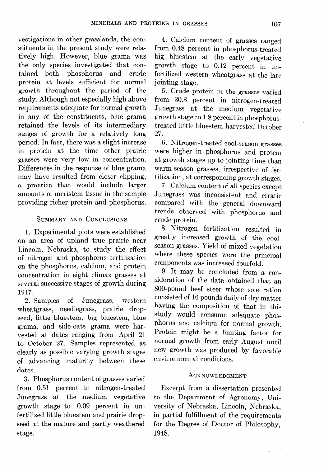vestigations in other grasslands, the constituents in the present study were relatively high. However, blue grama was the only species investigated that contained both phosphorus and crude protein at levels sufficient for normal growth throughout the period of the study. Although not especially high above requirements adequate for normal growth in any of the constituents, blue grama retained the levels of its intermediary stages of growth for a relatively long period. In fact, there was a slight increase in protein at the time other prairie grasses were very low in concentration. Differences in the response of blue grama may have resulted from closer clipping, a practice that would include larger amounts of meristem tissue in the sample providing richer protein and phosphorus.

# SUMMARY AND CONCLUSIONS

1. Experimental plots were established on an area of upland true prairie near Lincoln, Nebraska, to study the effect of nitrogen and phosphorus fertilization on the phosphorus, calcium, and protein concentration in eight climax grasses at several successive stages of growth during 1947.

2. Samples of Junegrass, western wheatgrass, needlegrass, prairie dropseed, little bluestem, big bluestem, blue grama, and side-oats grama were harvested at dates ranging from April 21 to October 27. Samples represented as clearly as possible varying growth stages of advancing maturity between these dates.

3. Phosphorus content of grasses varied from 0.51 percent in nitrogen-treated Junegrass at the medium vegetative growth stage to 0.09 percent in unfertilized little bluestem and prairie dropseed at the mature and partly weathered stage.

4. Calcium content of grasses ranged from 0.48 percent in phosphorus-treated big bluestem at the early vegetative growth stage to 0.12 percent in unfertilized western wheatgrass at the late jointing stage.

5. Crude protein in the grasses varied from 30.3 percent in nitrogen-treated Junegrass at the medium vegetative growth stage to 1.8 percent in phosphorustreated little bluestem harvested October 27.

6. Nitrogen-treated cool-season grasses were higher in phosphorus and protein at growth stages up to jointing time than warm-season grasses, irrespective of fertilization, at corresponding growth stages.

7. Calcium content of all species except Junegrass was inconsistent and erratic compared with the general downward trends observed with phosphorus and crude protein.

8. Nitrogen fertilization resulted in greatly increased growth of the coolseason grasses. Yield of mixed vegetation where these species were the principal components was increased fourfold.

9. It may be concluded from a consideration of the data obtained that an 800-pound beef steer whose sole ration consisted of 16 pounds daily of dry matter having the composition of that in this study would consume adequate phosphorus and calcium for normal growth. Protein might be a limiting factor for normal growth from early August until new growth was produced by favorable environmental conditions.

### **ACKNOWLEDGMENT**

Excerpt from a dissertation presented to the Department of Agronomy, University of Nebraska, Lincoln, Nebraska, in partial fulfillment of the requirements for the Degree of Doctor of Philosophy, 1948.